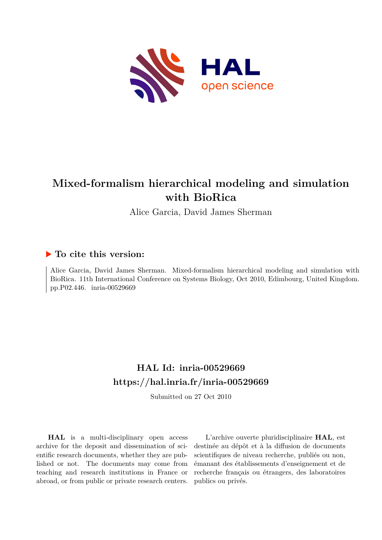

#### **Mixed-formalism hierarchical modeling and simulation with BioRica**

Alice Garcia, David James Sherman

#### **To cite this version:**

Alice Garcia, David James Sherman. Mixed-formalism hierarchical modeling and simulation with BioRica. 11th International Conference on Systems Biology, Oct 2010, Edimbourg, United Kingdom. pp.P02.446. inria-00529669

#### **HAL Id: inria-00529669 <https://hal.inria.fr/inria-00529669>**

Submitted on 27 Oct 2010

**HAL** is a multi-disciplinary open access archive for the deposit and dissemination of scientific research documents, whether they are published or not. The documents may come from teaching and research institutions in France or abroad, or from public or private research centers.

L'archive ouverte pluridisciplinaire **HAL**, est destinée au dépôt et à la diffusion de documents scientifiques de niveau recherche, publiés ou non, émanant des établissements d'enseignement et de recherche français ou étrangers, des laboratoires publics ou privés.